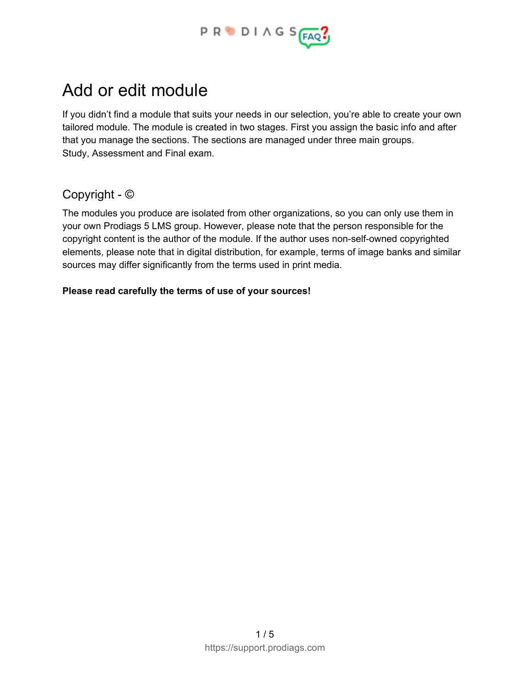

# Add or edit module

If you didn't find a module that suits your needs in our selection, you're able to create your own tailored module. The module is created in two stages. First you assign the basic info and after that you manage the sections. The sections are managed under three main groups. Study, Assessment and Final exam.

#### Copyright - ©

The modules you produce are isolated from other organizations, so you can only use them in your own Prodiags 5 LMS group. However, please note that the person responsible for the copyright content is the author of the module. If the author uses non-self-owned copyrighted elements, please note that in digital distribution, for example, terms of image banks and similar sources may differ significantly from the terms used in print media.

#### **Please read carefully the terms of use of your sources!**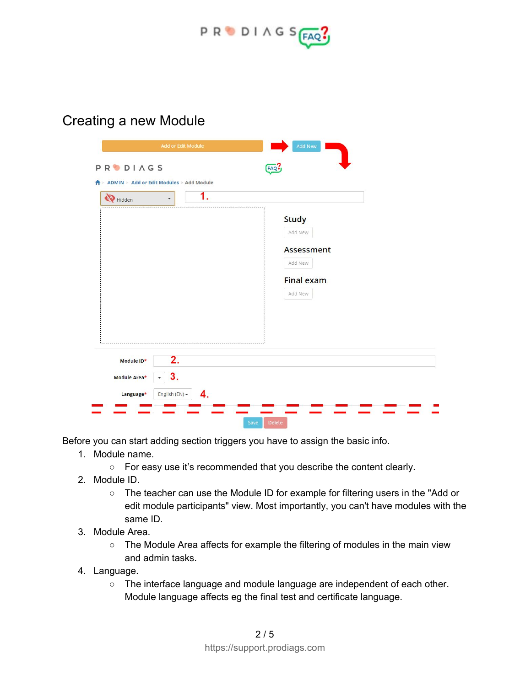

Creating a new Module

| Hidden     | 1.<br>$\overline{\phantom{a}}$ |                              |
|------------|--------------------------------|------------------------------|
|            |                                | <b>Study</b>                 |
|            |                                | Add New                      |
|            |                                | <b>Assessment</b><br>Add New |
|            |                                |                              |
|            |                                | <b>Final exam</b><br>Add New |
|            |                                |                              |
|            |                                |                              |
|            |                                |                              |
|            |                                |                              |
| Module ID* | 2.                             |                              |

Before you can start adding section triggers you have to assign the basic info.

- 1. Module name.
	- For easy use it's recommended that you describe the content clearly.
- 2. Module ID.
	- The teacher can use the Module ID for example for filtering users in the "Add or edit module participants" view. Most importantly, you can't have modules with the same ID.
- 3. Module Area.
	- The Module Area affects for example the filtering of modules in the main view and admin tasks.
- 4. Language.
	- The interface language and module language are independent of each other. Module language affects eg the final test and certificate language.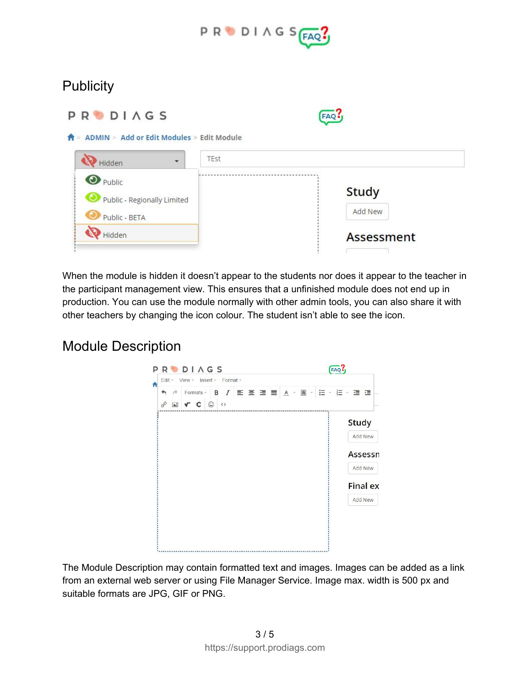

## **Publicity**

| <b>PRODIAGS</b>                                                             | FAQ                            |  |
|-----------------------------------------------------------------------------|--------------------------------|--|
| ADMIN > Add or Edit Modules > Edit Module<br>TEst<br>Hidden<br>$\mathbf{v}$ |                                |  |
| <b>O</b> Public<br>Public - Regionally Limited<br>Public - BETA             | <b>Study</b><br><b>Add New</b> |  |
| Hidden                                                                      | <b>Assessment</b>              |  |

When the module is hidden it doesn't appear to the students nor does it appear to the teacher in the participant management view. This ensures that a unfinished module does not end up in production. You can use the module normally with other admin tools, you can also share it with other teachers by changing the icon colour. The student isn't able to see the icon.

#### Module Description



The Module Description may contain formatted text and images. Images can be added as a link from an external web server or using File Manager Service. Image max. width is 500 px and suitable formats are JPG, GIF or PNG.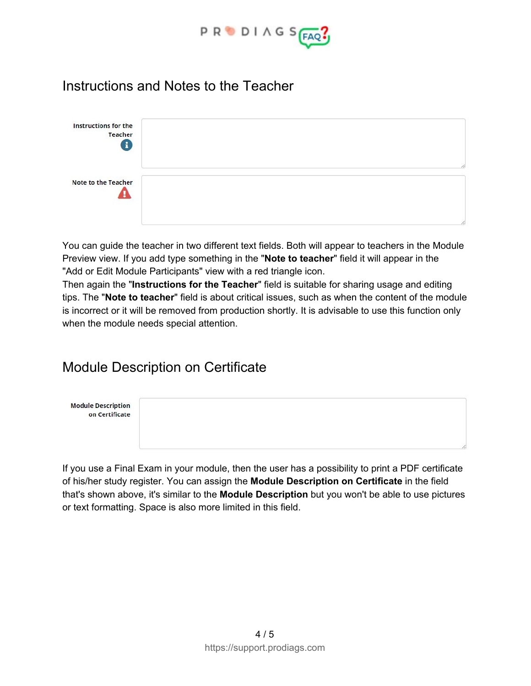

#### Instructions and Notes to the Teacher



You can guide the teacher in two different text fields. Both will appear to teachers in the Module Preview view. If you add type something in the "**Note to teacher**" field it will appear in the "Add or Edit Module Participants" view with a red triangle icon.

Then again the "**Instructions for the Teacher**" field is suitable for sharing usage and editing tips. The "**Note to teacher**" field is about critical issues, such as when the content of the module is incorrect or it will be removed from production shortly. It is advisable to use this function only when the module needs special attention.

## Module Description on Certificate



If you use a Final Exam in your module, then the user has a possibility to print a PDF certificate of his/her study register. You can assign the **Module Description on Certificate** in the field that's shown above, it's similar to the **Module Description** but you won't be able to use pictures or text formatting. Space is also more limited in this field.